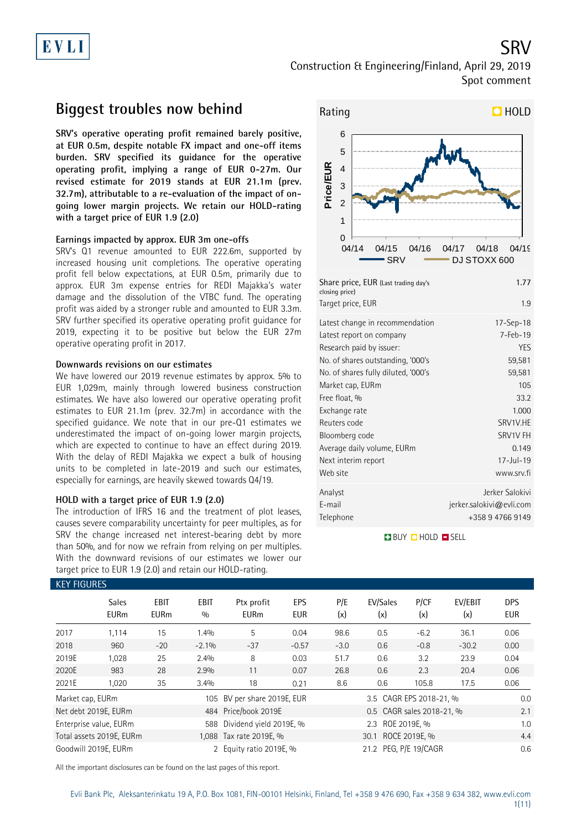# EVLI

Construction & Engineering/Finland, April 29, 2019 Spot comment

## **Biggest troubles now behind**

**SRV's operative operating profit remained barely positive, at EUR 0.5m, despite notable FX impact and one-off items burden. SRV specified its guidance for the operative operating profit, implying a range of EUR 0-27m. Our revised estimate for 2019 stands at EUR 21.1m (prev. 32.7m), attributable to a re-evaluation of the impact of ongoing lower margin projects. We retain our HOLD-rating with a target price of EUR 1.9 (2.0)**

### **Earnings impacted by approx. EUR 3m one-offs**

SRV's Q1 revenue amounted to EUR 222.6m, supported by increased housing unit completions. The operative operating profit fell below expectations, at EUR 0.5m, primarily due to approx. EUR 3m expense entries for REDI Majakka's water damage and the dissolution of the VTBC fund. The operating profit was aided by a stronger ruble and amounted to EUR 3.3m. SRV further specified its operative operating profit guidance for 2019, expecting it to be positive but below the EUR 27m operative operating profit in 2017.

### **Downwards revisions on our estimates**

We have lowered our 2019 revenue estimates by approx. 5% to EUR 1,029m, mainly through lowered business construction estimates. We have also lowered our operative operating profit estimates to EUR 21.1m (prev. 32.7m) in accordance with the specified guidance. We note that in our pre-Q1 estimates we underestimated the impact of on-going lower margin projects, which are expected to continue to have an effect during 2019. With the delay of REDI Majakka we expect a bulk of housing units to be completed in late-2019 and such our estimates, especially for earnings, are heavily skewed towards Q4/19.

### **HOLD with a target price of EUR 1.9 (2.0)**

The introduction of IFRS 16 and the treatment of plot leases, causes severe comparability uncertainty for peer multiples, as for SRV the change increased net interest-bearing debt by more than 50%, and for now we refrain from relying on per multiples. With the downward revisions of our estimates we lower our target price to EUR 1.9 (2.0) and retain our HOLD-rating.



| Share price, EUR (Last trading day's<br>closing price) | 1.77                     |
|--------------------------------------------------------|--------------------------|
| Target price, EUR                                      | 1.9                      |
| Latest change in recommendation                        | $17 - Sep - 18$          |
| Latest report on company                               | $7 - Feb - 19$           |
| Research paid by issuer:                               | YES                      |
| No. of shares outstanding, '000's                      | 59,581                   |
| No. of shares fully diluted, '000's                    | 59,581                   |
| Market cap, EURm                                       | 105                      |
| Free float, %                                          | 33.2                     |
| Exchange rate                                          | 1.000                    |
| Reuters code                                           | SRV1V.HE                 |
| Bloomberg code                                         | SRV1V FH                 |
| Average daily volume, EURm                             | 0.149                    |
| Next interim report                                    | $17 -$ Jul - 19          |
| Web site                                               | www.srv.fi               |
| Analyst                                                | Jerker Salokivi          |
| E-mail                                                 | jerker.salokivi@evli.com |
| Telephone                                              | +358 9 4766 9149         |
|                                                        |                          |

**BUY QHOLD SELL** 

| <b>KEY FIGURES</b> |                             |                            |                    |                             |                   |            |                           |             |                |                          |
|--------------------|-----------------------------|----------------------------|--------------------|-----------------------------|-------------------|------------|---------------------------|-------------|----------------|--------------------------|
|                    | <b>Sales</b><br><b>EURm</b> | <b>EBIT</b><br><b>EURm</b> | <b>EBIT</b><br>0/0 | Ptx profit<br><b>EURm</b>   | EPS<br><b>EUR</b> | P/E<br>(x) | EV/Sales<br>(x)           | P/CF<br>(x) | EV/EBIT<br>(x) | <b>DPS</b><br><b>EUR</b> |
| 2017               | 1.114                       | 15                         | l.4%               | 5                           | 0.04              | 98.6       | 0.5                       | $-6.2$      | 36.1           | 0.06                     |
| 2018               | 960                         | $-20$                      | $-2.1%$            | $-37$                       | $-0.57$           | $-3.0$     | 0.6                       | $-0.8$      | $-30.2$        | 0.00                     |
| 2019E              | 1,028                       | 25                         | 2.4%               | 8                           | 0.03              | 51.7       | 0.6                       | 3.2         | 23.9           | 0.04                     |
| 2020E              | 983                         | 28                         | 2.9%               | 11                          | 0.07              | 26.8       | 0.6                       | 2.3         | 20.4           | 0.06                     |
| 2021E              | 1,020                       | 35                         | 3.4%               | 18                          | 0.21              | 8.6        | 0.6                       | 105.8       | 17.5           | 0.06                     |
| Market cap, EURm   |                             |                            |                    | 105 BV per share 2019E, EUR |                   |            | 3.5 CAGR EPS 2018-21, %   |             |                | 0.0                      |
|                    | Net debt 2019E, EURm        |                            |                    | 484 Price/book 2019E        |                   |            | 0.5 CAGR sales 2018-21, % |             |                | 2.1                      |
|                    | Enterprise value, EURm      |                            | 588                | Dividend yield 2019E, %     |                   |            | 2.3 ROE 2019E, %          |             |                | 1.0                      |
|                    | Total assets 2019E, EURm    |                            |                    | 1,088 Tax rate 2019E, %     |                   |            |                           | 4.4         |                |                          |
|                    | Goodwill 2019E, EURm        |                            |                    | 2 Equity ratio 2019E, %     |                   |            | 0.6                       |             |                |                          |

All the important disclosures can be found on the last pages of this report.

SRV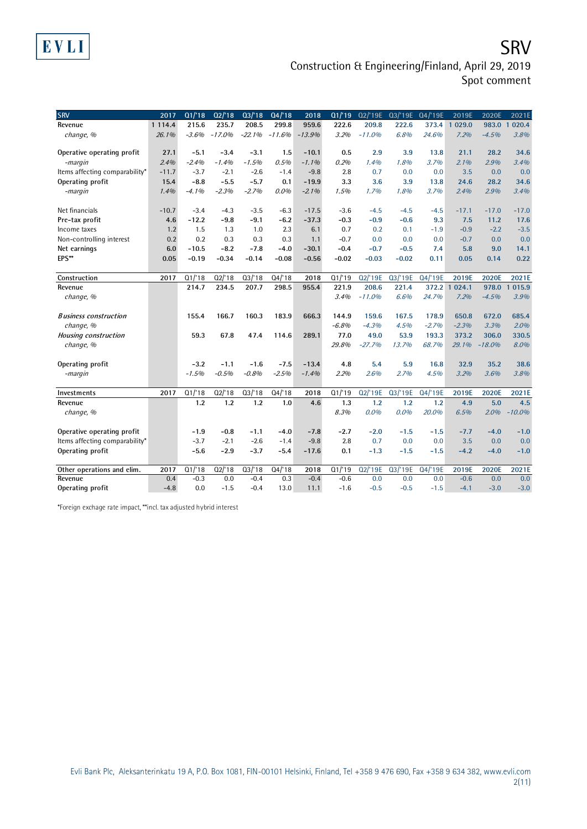## **SRV** Construction & Engineering/Finland, April 29, 2019 Spot comment

| <b>SRV</b>                     | 2017       | Q1/18   | Q2/18    | Q3/18    | Q4/18    | 2018     | 01/19   | 02/'19E  | 03/'19E | Q4/'19E | 2019E   | 2020E    | 2021E                 |
|--------------------------------|------------|---------|----------|----------|----------|----------|---------|----------|---------|---------|---------|----------|-----------------------|
| Revenue                        | 1 1 1 4 .4 | 215.6   | 235.7    | 208.5    | 299.8    | 959.6    | 222.6   | 209.8    | 222.6   | 373.4   | 1 029.0 | 983.0    | 020.4<br>$\mathbf{1}$ |
| change, %                      | 26.1%      | $-3.6%$ | $-17.0%$ | $-22.1%$ | $-11.6%$ | $-13.9%$ | 3.2%    | $-11.0%$ | 6.8%    | 24.6%   | 7.2%    | $-4.5%$  | 3.8%                  |
| Operative operating profit     | 27.1       | $-5.1$  | $-3.4$   | $-3.1$   | 1.5      | $-10.1$  | 0.5     | 2.9      | 3.9     | 13.8    | 21.1    | 28.2     | 34.6                  |
| -margin                        | 2.4%       | $-2.4%$ | $-1.4%$  | $-1.5%$  | 0.5%     | $-1.1%$  | 0.2%    | 1.4%     | 1.8%    | 3.7%    | 2.1%    | 2.9%     | 3.4%                  |
| Items affecting comparability* | $-11.7$    | $-3.7$  | $-2.1$   | $-2.6$   | $-1.4$   | $-9.8$   | 2.8     | 0.7      | 0.0     | 0.0     | 3.5     | 0.0      | 0.0                   |
| Operating profit               | 15.4       | $-8.8$  | $-5.5$   | $-5.7$   | 0.1      | $-19.9$  | 3.3     | 3.6      | 3.9     | 13.8    | 24.6    | 28.2     | 34.6                  |
| -margin                        | 1.4%       | $-4.1%$ | $-2.3%$  | $-2.7%$  | $0.0\%$  | $-2.1%$  | 1.5%    | 1.7%     | 1.8%    | 3.7%    | 2.4%    | 2.9%     | 3.4%                  |
| Net financials                 | $-10.7$    | $-3.4$  | $-4.3$   | $-3.5$   | $-6.3$   | $-17.5$  | $-3.6$  | $-4.5$   | $-4.5$  | $-4.5$  | $-17.1$ | $-17.0$  | $-17.0$               |
| Pre-tax profit                 | 4.6        | $-12.2$ | $-9.8$   | $-9.1$   | $-6.2$   | $-37.3$  | $-0.3$  | $-0.9$   | $-0.6$  | 9.3     | 7.5     | 11.2     | 17.6                  |
| Income taxes                   | 1.2        | 1.5     | 1.3      | 1.0      | 2.3      | 6.1      | 0.7     | 0.2      | 0.1     | $-1.9$  | $-0.9$  | $-2.2$   | $-3.5$                |
| Non-controlling interest       | 0.2        | 0.2     | 0.3      | 0.3      | 0.3      | 1.1      | $-0.7$  | 0.0      | 0.0     | 0.0     | $-0.7$  | 0.0      | 0.0                   |
| Net earnings                   | 6.0        | $-10.5$ | $-8.2$   | $-7.8$   | $-4.0$   | $-30.1$  | $-0.4$  | $-0.7$   | $-0.5$  | 7.4     | 5.8     | 9.0      | 14.1                  |
| EPS**                          | 0.05       | $-0.19$ | $-0.34$  | $-0.14$  | $-0.08$  | $-0.56$  | $-0.02$ | $-0.03$  | $-0.02$ | 0.11    | 0.05    | 0.14     | 0.22                  |
| Construction                   | 2017       | Q1/18   | Q2/18    | Q3/18    | Q4/18    | 2018     | Q1/19   | Q2/'19E  | Q3/'19E | Q4/'19E | 2019E   | 2020E    | 2021E                 |
| Revenue                        |            | 214.7   | 234.5    | 207.7    | 298.5    | 955.4    | 221.9   | 208.6    | 221.4   | 372.2   | 1024.1  | 978.0    | 015.9<br>$\mathbf{1}$ |
| change, %                      |            |         |          |          |          |          | 3.4%    | $-11.0%$ | 6.6%    | 24.7%   | 7.2%    | $-4.5%$  | 3.9%                  |
| <b>Business construction</b>   |            | 155.4   | 166.7    | 160.3    | 183.9    | 666.3    | 144.9   | 159.6    | 167.5   | 178.9   | 650.8   | 672.0    | 685.4                 |
| change, %                      |            |         |          |          |          |          | $-6.8%$ | $-4.3%$  | 4.5%    | $-2.7%$ | $-2.3%$ | 3.3%     | 2.0%                  |
| <b>Housing construction</b>    |            | 59.3    | 67.8     | 47.4     | 114.6    | 289.1    | 77.0    | 49.0     | 53.9    | 193.3   | 373.2   | 306.0    | 330.5                 |
| change, %                      |            |         |          |          |          |          | 29.8%   | $-27.7%$ | 13.7%   | 68.7%   | 29.1%   | $-18.0%$ | 8.0%                  |
| Operating profit               |            | $-3.2$  | $-1.1$   | $-1.6$   | $-7.5$   | $-13.4$  | 4.8     | 5.4      | 5.9     | 16.8    | 32.9    | 35.2     | 38.6                  |
| -margin                        |            | $-1.5%$ | $-0.5%$  | $-0.8%$  | $-2.5%$  | $-1.4%$  | 2.2%    | 2.6%     | 2.7%    | 4.5%    | 3.2%    | 3.6%     | 3.8%                  |
| Investments                    | 2017       | Q1/18   | Q2/18    | Q3/18    | Q4/18    | 2018     | Q1/19   | Q2/'19E  | Q3/'19E | Q4/'19E | 2019E   | 2020E    | 2021E                 |
| Revenue                        |            | 1.2     | 1.2      | 1.2      | 1.0      | 4.6      | 1.3     | 1.2      | 1.2     | 1.2     | 4.9     | 5.0      | 4.5                   |
| change, %                      |            |         |          |          |          |          | 8.3%    | $0.0\%$  | 0.0%    | 20.0%   | 6.5%    | 2.0%     | $-10.0%$              |
| Operative operating profit     |            | $-1.9$  | $-0.8$   | $-1.1$   | $-4.0$   | $-7.8$   | $-2.7$  | $-2.0$   | $-1.5$  | $-1.5$  | $-7.7$  | $-4.0$   | $-1.0$                |
| Items affecting comparability* |            | $-3.7$  | $-2.1$   | $-2.6$   | $-1.4$   | $-9.8$   | 2.8     | 0.7      | 0.0     | 0.0     | 3.5     | 0.0      | 0.0                   |
| Operating profit               |            | $-5.6$  | $-2.9$   | $-3.7$   | $-5.4$   | $-17.6$  | 0.1     | $-1.3$   | $-1.5$  | $-1.5$  | $-4.2$  | $-4.0$   | $-1.0$                |
| Other operations and elim.     | 2017       | Q1/18   | Q2/18    | Q3/18    | Q4/18    | 2018     | Q1/19   | Q2/'19E  | Q3/'19E | Q4/'19E | 2019E   | 2020E    | 2021E                 |
| Revenue                        | 0.4        | $-0.3$  | 0.0      | $-0.4$   | 0.3      | $-0.4$   | $-0.6$  | 0.0      | 0.0     | 0.0     | $-0.6$  | 0.0      | 0.0                   |
| Operating profit               | $-4.8$     | 0.0     | $-1.5$   | $-0.4$   | 13.0     | 11.1     | $-1.6$  | $-0.5$   | $-0.5$  | $-1.5$  | $-4.1$  | $-3.0$   | $-3.0$                |

\*Foreign exchage rate impact, \*\*incl. tax adjusted hybrid interest

EVLI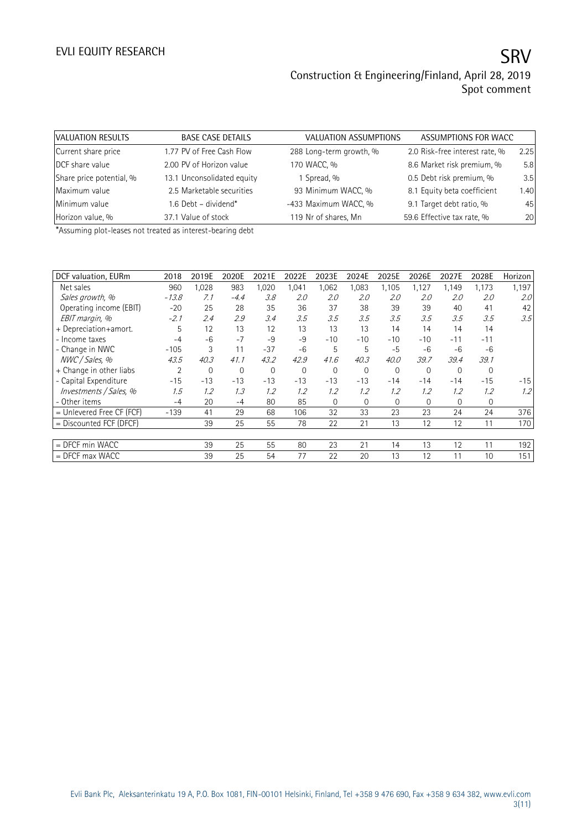| VALUATION RESULTS        | <b>BASE CASE DETAILS</b>   | VALUATION ASSUMPTIONS   | ASSUMPTIONS FOR WACC           |      |
|--------------------------|----------------------------|-------------------------|--------------------------------|------|
| Current share price      | 1.77 PV of Free Cash Flow  | 288 Long-term growth, % | 2.0 Risk-free interest rate, % | 2.25 |
| DCF share value          | 2.00 PV of Horizon value   | 170 WACC, %             | 8.6 Market risk premium, %     | 5.8  |
| Share price potential, % | 13.1 Unconsolidated equity | 1 Spread, %             | 0.5 Debt risk premium, %       | 3.5  |
| Maximum value            | 2.5 Marketable securities  | 93 Minimum WACC, %      | 8.1 Equity beta coefficient    | 1.40 |
| Minimum value            | 1.6 Debt - dividend*       | -433 Maximum WACC, %    | 9.1 Target debt ratio, %       | 45   |
| Horizon value, %         | 37.1 Value of stock        | 119 Nr of shares, Mn    | 59.6 Effective tax rate, %     | 20   |

\*Assuming plot-leases not treated as interest-bearing debt

| DCF valuation, EURm       | 2018    | 2019E | 2020E  | 2021E | 2022E        | 2023E       | 2024E        | 2025E       | 2026E        | 2027E    | 2028E    | Horizon |
|---------------------------|---------|-------|--------|-------|--------------|-------------|--------------|-------------|--------------|----------|----------|---------|
| Net sales                 | 960     | 1,028 | 983    | 1,020 | 1,041        | 1,062       | 1,083        | 1,105       | 1,127        | 1,149    | 1,173    | 1,197   |
| Sales growth, %           | $-13.8$ | 7.1   | $-4.4$ | 3.8   | 2.0          | 2.0         | 2.0          | 2.0         | 2.0          | 2.0      | 2.0      | 2.0     |
| Operating income (EBIT)   | $-20$   | 25    | 28     | 35    | 36           | 37          | 38           | 39          | 39           | 40       | 41       | 42      |
| EBIT margin, %            | $-2.1$  | 2.4   | 2.9    | 3.4   | 3.5          | 3.5         | 3.5          | 3.5         | 3.5          | 3.5      | 3.5      | 3.5     |
| + Depreciation+amort.     | 5       | 12    | 13     | 12    | 13           | 13          | 13           | 14          | 14           | 14       | 14       |         |
| - Income taxes            | $-4$    | $-6$  | $-7$   | $-9$  | -9           | $-10$       | $-10$        | $-10$       | $-10$        | $-11$    | $-11$    |         |
| - Change in NWC           | $-105$  | 3     | 11     | $-37$ | $-6$         | 5           | 5            | $-5$        | $-6$         | -6       | $-6$     |         |
| NWC / Sales, %            | 43.5    | 40.3  | 41.1   | 43.2  | 42.9         | 41.6        | 40.3         | 40.0        | 39.7         | 39.4     | 39.1     |         |
| + Change in other liabs   | 2       | 0     | 0      | 0     | $\mathbf{0}$ | $\mathbf 0$ | $\mathbf{0}$ | $\mathbf 0$ | $\mathbf 0$  | 0        | $\Omega$ |         |
| - Capital Expenditure     | $-15$   | $-13$ | $-13$  | $-13$ | $-13$        | $-13$       | $-13$        | $-14$       | $-14$        | $-14$    | $-15$    | $-15$   |
| Investments / Sales, %    | 1.5     | 1.2   | 1.3    | 1.2   | 1.2          | 1.2         | 1.2          | 1.2         | 1.2          | 1.2      | 1.2      | 1.2     |
| - Other items             | $-4$    | 20    | $-4$   | 80    | 85           | $\Omega$    | $\Omega$     | $\Omega$    | $\mathbf{0}$ | $\Omega$ | 0        |         |
| = Unlevered Free CF (FCF) | $-139$  | 41    | 29     | 68    | 106          | 32          | 33           | 23          | 23           | 24       | 24       | 376     |
| = Discounted FCF (DFCF)   |         | 39    | 25     | 55    | 78           | 22          | 21           | 13          | 12           | 12       | 11       | 170     |
|                           |         |       |        |       |              |             |              |             |              |          |          |         |
| $=$ DFCF min WACC         |         | 39    | 25     | 55    | 80           | 23          | 21           | 14          | 13           | 12       | 11       | 192     |
| $=$ DFCF max WACC         |         | 39    | 25     | 54    | 77           | 22          | 20           | 13          | 12           | 11       | 10       | 151     |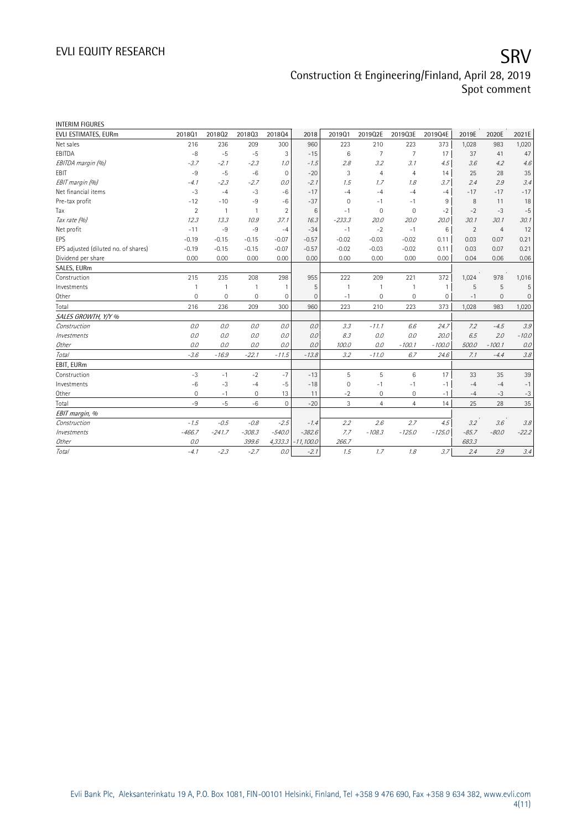## EVLI EQUITY RESEARCH SALL SOMETIME SAN SERVICE SERVICE SERVICE SERVICE SERVICE SERVICE SERVICE SERVICE SERVICE Construction & Engineering/Finland, April 28, 2019 Spot comment

| <b>INTERIM FIGURES</b>               |                |                |                |                |              |             |                     |                |              |                |                |                     |
|--------------------------------------|----------------|----------------|----------------|----------------|--------------|-------------|---------------------|----------------|--------------|----------------|----------------|---------------------|
| EVLI ESTIMATES, EURm                 | 201801         | 201802         | 201803         | 201804         | 2018         | 2019Q1      | 2019Q2E             | 2019Q3E        | 2019Q4E      | 2019E          | 2020E          | 2021E               |
| Net sales                            | 216            | 236            | 209            | 300            | 960          | 223         | 210                 | 223            | 373          | 1,028          | 983            | 1,020               |
| EBITDA                               | $-8$           | $-5$           | $-5$           | 3              | $-15$        | 6           | $\overline{7}$      | $\overline{7}$ | 17           | 37             | 41             | 47                  |
| EBITDA margin (%)                    | $-3.7$         | $-2.1$         | $-2.3$         | 1.0            | $-1.5$       | 2.8         | 3.2                 | 3.1            | 4.5          | 3.6            | 4.2            | 4.6                 |
| EBIT                                 | $-9$           | $-5$           | $-6$           | $\mathbf 0$    | $-20$        | 3           | $\overline{4}$      | $\overline{4}$ | 14           | 25             | 28             | 35                  |
| EBIT margin (%)                      | $-4.1$         | $-2.3$         | $-2.7$         | 0.0            | $-2.1$       | 7.5         | 1.7                 | 1.8            | 3.7          | 2.4            | 2.9            | 3.4                 |
| Net financial items                  | $-3$           | $-4$           | $-3$           | $-6$           | $-17$        | $-4$        | $-4$                | $-4$           | $-4$         | $-17$          | $-17$          | $-17$               |
| Pre-tax profit                       | $-12$          | $-10$          | $-9$           | $-6$           | $-37$        | $\mathbf 0$ | -1                  | $-1$           | 9            | 8              | 11             | 18                  |
| Tax                                  | $\overline{2}$ | $\overline{1}$ | $\overline{1}$ | $\overline{2}$ | 6            | $-1$        | $\mathbf{0}$        | $\mathbf 0$    | $-2$         | $-2$           | $-3$           | $-5$                |
| Tax rate (%)                         | 12.3           | 13.3           | 10.9           | 37.1           | 16.3         | $-233.3$    | 20.0                | 20.0           | 20.0         | 30.1           | 30.1           | 30.1                |
| Net profit                           | $-11$          | $-9$           | $-9$           | $-4$           | $-34$        | $-1$        | $-2$                | $-1$           | 6            | $\overline{2}$ | $\overline{4}$ | 12                  |
| <b>EPS</b>                           | $-0.19$        | $-0.15$        | $-0.15$        | $-0.07$        | $-0.57$      | $-0.02$     | $-0.03$             | $-0.02$        | 0.11         | 0.03           | 0.07           | 0.21                |
| EPS adjusted (diluted no. of shares) | $-0.19$        | $-0.15$        | $-0.15$        | $-0.07$        | $-0.57$      | $-0.02$     | $-0.03$             | $-0.02$        | 0.11         | 0.03           | 0.07           | 0.21                |
| Dividend per share                   | 0.00           | 0.00           | 0.00           | 0.00           | 0.00         | 0.00        | 0.00                | 0.00           | 0.00         | 0.04           | 0.06           | 0.06                |
| SALES, EURm                          |                |                |                |                |              |             |                     |                |              |                |                |                     |
| Construction                         | 215            | 235            | 208            | 298            | 955          | 222         | 209                 | 221            | 372          | 1,024          | 978            | 1,016               |
| Investments                          | 1              | $\overline{1}$ | $\mathbf{1}$   | $\overline{1}$ | 5            |             | $\overline{1}$      |                | $\mathbf{1}$ | 5              | 5              | 5                   |
| Other                                | $\mathbf 0$    | $\mathbf{0}$   | $\mathbf 0$    | $\overline{0}$ | $\mathbf{0}$ | $-1$        | $\mathbf{0}$        | 0              | $\mathbf 0$  | $-1$           | $\Omega$       | $\mathsf{O}\xspace$ |
| Total                                | 216            | 236            | 209            | 300            | 960          | 223         | 210                 | 223            | 373          | 1,028          | 983            | 1,020               |
| SALES GROWTH, Y/Y %                  |                |                |                |                |              |             |                     |                |              |                |                |                     |
| Construction                         | 0.0            | 0.0            | 0.0            | 0.0            | 0.0          | 3.3         | $-11.1$             | 6.6            | 24.7         | 7.2            | $-4.5$         | 3.9                 |
| <i><b>Investments</b></i>            | 0.0            | 0.0            | 0.0            | 0.0            | 0.0          | 8.3         | 0.0                 | 0.0            | 20.0         | 6.5            | 2.0            | $-10.0$             |
| Other                                | 0.0            | 0.0            | 0.0            | 0.0            | 0.0          | 100.0       | 0.0                 | $-100.1$       | $-100.0$     | 500.0          | $-100.1$       | 0.0                 |
| Total                                | $-3.6$         | $-16.9$        | $-22.1$        | $-11.5$        | $-13.8$      | 3.2         | $-11.0$             | 6.7            | 24.6         | 7.1            | $-4.4$         | 3.8                 |
| EBIT, EURm                           |                |                |                |                |              |             |                     |                |              |                |                |                     |
| Construction                         | $-3$           | $-1$           | $-2$           | $-7$           | $-13$        | 5           | 5                   | 6              | 17           | 33             | 35             | 39                  |
| Investments                          | $-6$           | $-3$           | $-4$           | $-5$           | $-18$        | $\mathbf 0$ | $-1$                | $-1$           | $-1$         | $-4$           | $-4$           | $-1$                |
| Other                                | 0              | $-1$           | 0              | 13             | 11           | $-2$        | $\mathsf{O}\xspace$ | 0              | $-1$         | -4             | $-3$           | $-3$                |
| Total                                | $-9$           | $-5$           | $-6$           | $\Omega$       | $-20$        | 3           | $\overline{4}$      | $\overline{4}$ | 14           | 25             | 28             | 35                  |
| EBIT margin, %                       |                |                |                |                |              |             |                     |                |              |                |                |                     |
| Construction                         | $-1.5$         | $-0.5$         | $-0.8$         | $-2.5$         | $-1.4$       | 2.2         | 2.6                 | 2.7            | 4.5          | 3.2            | 3.6            | 3.8                 |
| Investments                          | $-466.7$       | $-241.7$       | $-308.3$       | $-540.0$       | $-382.6$     | 7.7         | $-108.3$            | $-125.0$       | $-125.0$     | $-85.7$        | $-80.0$        | $-22.2$             |
| Other                                | 0.0            |                | 399.6          | 4,333.3        | $-11,100.0$  | 266.7       |                     |                |              | 683.3          |                |                     |
| Total                                | $-4.1$         | $-2.3$         | $-2.7$         | 0.0            | $-2.1$       | 7.5         | 1.7                 | 1.8            | 3.7          | 2.4            | 2.9            | 3.4                 |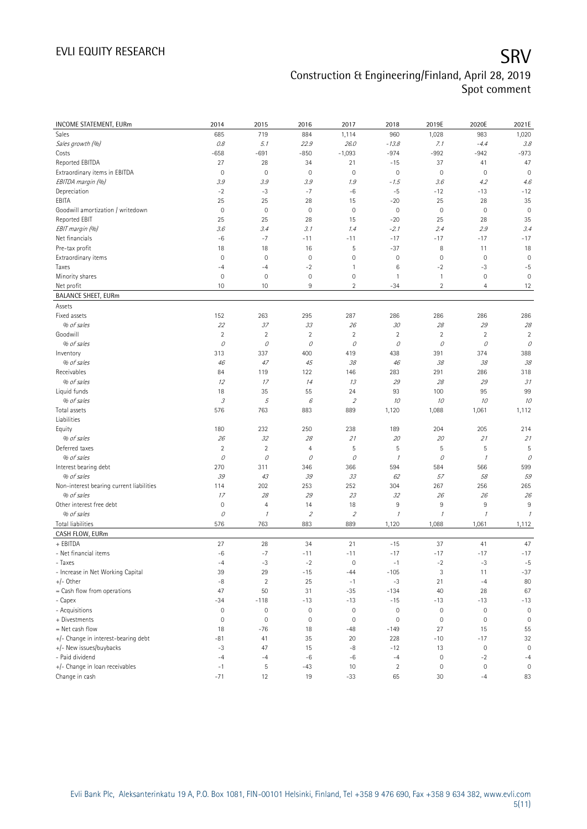## EVLI EQUITY RESEARCH SALL SOMETIME SAN SERVICE SERVICE SERVICE SERVICE SERVICE SERVICE SERVICE SERVICE SERVICE Construction & Engineering/Finland, April 28, 2019 Spot comment

| <b>INCOME STATEMENT, EURm</b>            | 2014                | 2015                | 2016                         | 2017                        | 2018                | 2019E               | 2020E                | 2021E                       |
|------------------------------------------|---------------------|---------------------|------------------------------|-----------------------------|---------------------|---------------------|----------------------|-----------------------------|
| Sales                                    | 685                 | 719                 | 884                          | 1,114                       | 960                 | 1,028               | 983                  | 1,020                       |
| Sales growth (%)                         | $0.8\,$             | 5.1                 | 22.9                         | 26.0                        | $-13.8$             | 7.1                 | $-4.4$               | 3.8                         |
| Costs                                    | $-658$              | $-691$              | $-850$                       | $-1,093$                    | $-974$              | $-992$              | $-942$               | $-973$                      |
| Reported EBITDA                          | 27                  | 28                  | 34                           | 21                          | $-15$               | 37                  | 41                   | 47                          |
| Extraordinary items in EBITDA            | $\overline{0}$      | $\mathbf 0$         | $\mathbf 0$                  | $\circ$                     | $\mathbf 0$         | $\mathsf{O}\xspace$ | $\mathbf 0$          | $\mathbf 0$                 |
| EBITDA margin (%)                        | 3.9                 | 3.9                 | 3.9                          | 1.9                         | - 1.5               | 3.6                 | 4.2                  | 4.6                         |
| Depreciation                             | $-2$                | $-3$                | $-7$                         | $-6$                        | $-5$                | $-12$               | $-13$                | $-12$                       |
| EBITA                                    | 25                  | 25                  | 28                           | 15                          | $-20$               | 25                  | 28                   | 35                          |
| Goodwill amortization / writedown        | $\mathbf 0$         | $\mathbf 0$         | $\mathbf 0$                  | $\circ$                     | $\mathbf 0$         | $\mathbb O$         | $\mathbf 0$          | $\mathbf 0$                 |
| Reported EBIT                            | 25                  | 25                  | 28                           | 15                          | $-20$               | 25                  | 28                   | 35                          |
| EBIT margin (%)                          | 3.6                 | 3.4                 | 3.1                          | 1.4                         | $-2.1$              | 2.4                 | 2.9                  | 3.4                         |
| Net financials                           | $-6$                | $-7$                | $-11$                        | $-11$                       | $-17$               | $-17$               | $-17$                | $-17$                       |
| Pre-tax profit                           | 18                  | 18                  | 16                           | 5                           | $-37$               | 8                   | 11                   | 18                          |
| Extraordinary items                      | $\mathbf 0$         | $\mathbf 0$         | $\mathbf 0$                  | $\mathsf{O}\xspace$         | $\mathbf 0$         | $\mathbb O$         | $\mathbf 0$          | $\mathbf 0$                 |
| Taxes                                    | $-4$                | $-4$                | $-2$                         | 1                           | 6                   | $-2$                | $-3$                 | $-5$                        |
| Minority shares                          | $\mathbf 0$         | $\mathbf 0$         | $\mathbf 0$                  | $\mathsf{O}\xspace$         | $\mathbf{1}$        | $\mathbf{1}$        | $\mathbf 0$          | $\mathbf 0$                 |
| Net profit                               | 10                  | 10                  | 9                            | $\overline{2}$              | $-34$               | $\overline{2}$      | $\overline{4}$       | 12                          |
| <b>BALANCE SHEET, EURm</b>               |                     |                     |                              |                             |                     |                     |                      |                             |
| Assets                                   |                     |                     |                              |                             |                     |                     |                      |                             |
| Fixed assets                             | 152                 | 263                 | 295                          | 287                         | 286                 | 286                 | 286                  | 286                         |
| % of sales                               | 22                  | 37                  | 33                           | 26                          | 30                  | 28                  | 29                   | $2\ensuremath{\mathcal{S}}$ |
| Goodwill                                 | $\overline{2}$      | $\overline{c}$      | $\overline{2}$               | $\overline{2}$              | $\overline{2}$      | $\overline{2}$      | $\overline{2}$       | $\overline{2}$              |
| % of sales                               | 0                   | 0                   | 0                            | 0                           | 0                   | 0                   | 0                    | 0                           |
| Inventory                                | 313                 | 337                 | 400                          | 419                         | 438                 | 391                 | 374                  | 388                         |
| % of sales                               | 46                  | 47                  | 45                           | 38                          | 46                  | 38                  | 38                   | 38                          |
| Receivables                              | 84                  | 119                 | 122                          | 146                         | 283                 | 291                 | 286                  | 318                         |
| % of sales                               | 12                  | 17                  | 14                           | 13                          | 29                  | 28                  | 29                   | 31                          |
| Liquid funds                             | 18                  | 35                  | 55                           | 24                          | 93                  | 100                 | 95                   | 99                          |
| % of sales                               | $\mathcal{I}% _{G}$ | 5                   | 6                            | $\mathcal{L}_{\mathcal{L}}$ | 10                  | 10                  | 10                   | 10                          |
| Total assets                             | 576                 | 763                 | 883                          | 889                         | 1,120               | 1,088               | 1,061                | 1,112                       |
| Liabilities                              |                     |                     |                              |                             |                     |                     |                      |                             |
| Equity                                   | 180                 | 232                 | 250                          | 238                         | 189                 | 204                 | 205                  | 214                         |
| % of sales                               | 26                  | 32                  | 28                           | 21                          | 20                  | 20                  | 21                   | 21                          |
| Deferred taxes                           | $\overline{2}$      | $\overline{2}$      | $\overline{4}$               | 5                           | 5                   | 5                   | 5                    | 5                           |
| % of sales                               | $\mathcal O$        | $\mathcal O$        | 0                            | 0                           | $\mathcal{I}$       | 0                   | $\mathcal I$         | 0                           |
| Interest bearing debt                    | 270                 | 311                 | 346                          | 366                         | 594                 | 584                 | 566                  | 599                         |
| % of sales                               | 39                  | 43                  | 39                           | 33                          | 62                  | 57                  | 58                   | 59                          |
| Non-interest bearing current liabilities | 114                 | 202                 | 253                          | 252                         | 304                 | 267                 | 256                  | 265                         |
| % of sales                               | 17                  | 28                  | 29                           | 23                          | 32                  | 26                  | 26                   | 26                          |
| Other interest free debt                 | $\mathbf 0$         | $\overline{4}$      | 14                           | 18                          | 9                   | $\,9$               | $9\,$                | 9                           |
| % of sales                               | 0                   | $\mathcal{I}$       | $\overline{\mathcal{L}}$     | $\mathcal{L}_{\mathcal{L}}$ | $\mathcal{I}$       | $\mathcal I$        | $\mathcal{I}$        | $\mathcal{I}$               |
| Total liabilities                        | 576                 | 763                 | 883                          | 889                         | 1,120               | 1,088               | 1,061                | 1,112                       |
| CASH FLOW, EURm                          |                     |                     |                              |                             |                     |                     |                      |                             |
| + EBITDA                                 | 27                  | 28                  | 34                           | 21                          | $-15$               | 37                  | 41                   | 47                          |
| - Net financial items                    | $-6$                | $-7$                | $-11$                        | $-11$                       | $-17$               | $-17$               | $-17$                | $-17$                       |
| - Taxes                                  | $-4$                | $-3$                | $-2$                         | $\mathbf 0$                 | $-1$                | $-2$                | $-3$                 | $-5$                        |
| - Increase in Net Working Capital        | 39                  | 29                  | $-15$                        | $-44$                       | $-105$              | 3                   | 11                   | $-37$                       |
| +/- Other                                | $-8$                | $\overline{2}$      | 25                           | $-1$                        | $-3$                | 21                  | $-4$                 | 80                          |
|                                          | 47                  | 50                  | 31                           | $-35$                       | $-134$              | 40                  | 28                   | 67                          |
| = Cash flow from operations              |                     |                     |                              |                             |                     |                     |                      |                             |
| - Capex                                  | $-34$               | $-118$              | $-13$<br>$\mathsf{O}\xspace$ | $-13$<br>$\circ$            | $-15$               | $-13$               | $-13$<br>$\mathbf 0$ | $-13$<br>$\mathbf 0$        |
| - Acquisitions                           | $\mathbb O$         | $\mathsf{O}\xspace$ |                              |                             | $\mathsf{O}\xspace$ | $\mathbb O$         |                      |                             |
| + Divestments                            | $\mathbf 0$         | $\mathbf 0$         | $\mathsf{O}\xspace$          | $\circ$                     | $\mathbf 0$         | $\mathsf{O}\xspace$ | $\mathbf 0$          | $\mathbb O$                 |
| = Net cash flow                          | 18                  | $-76$               | 18                           | $-48$                       | $-149$              | 27                  | 15                   | 55                          |
| +/- Change in interest-bearing debt      | $-81$               | 41                  | 35                           | 20                          | 228                 | $-10$               | $-17$                | 32                          |
| +/- New issues/buybacks                  | $-3$                | 47                  | 15                           | $-8$                        | $-12$               | 13                  | $\mathbf 0$          | $\mathbf 0$                 |
| - Paid dividend                          | $-4$                | $-4$                | -6                           | $-6$                        | $-4$                | $\mathbb O$         | $-2$                 | $-4$                        |
| +/- Change in loan receivables           | $-1$                | 5                   | $-43$                        | 10                          | $\overline{2}$      | $\mathbb O$         | $\bf 0$              | $\mathsf{O}\xspace$         |
| Change in cash                           | $-71$               | 12                  | 19                           | $-33$                       | 65                  | 30                  | $-4$                 | 83                          |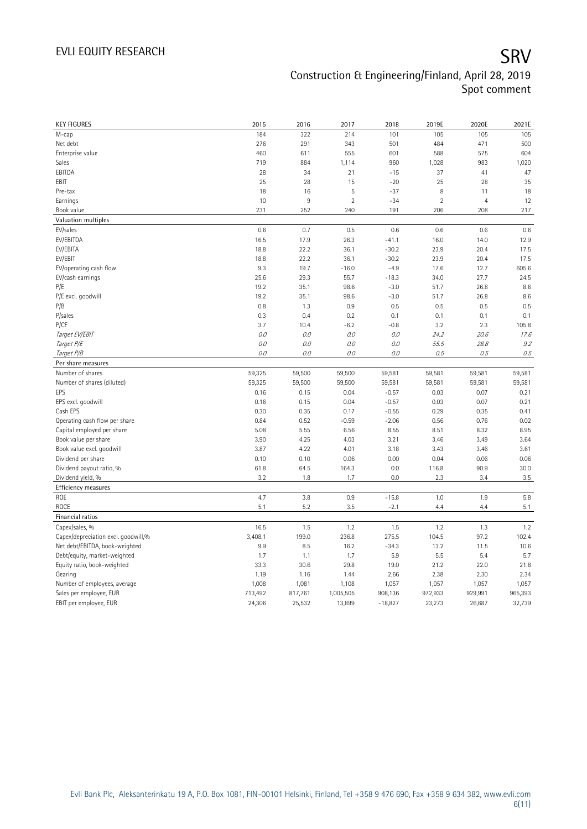## EVLI EQUITY RESEARCH SALL SOMETIME SAN SERVICE SERVICE SERVICE SERVICE SERVICE SERVICE SERVICE SERVICE SERVICE Construction & Engineering/Finland, April 28, 2019 Spot comment

| <b>KEY FIGURES</b>                  | 2015    | 2016    | 2017           | 2018      | 2019E      | 2020E          | 2021E   |
|-------------------------------------|---------|---------|----------------|-----------|------------|----------------|---------|
| M-cap                               | 184     | 322     | 214            | 101       | 105        | 105            | 105     |
| Net debt                            | 276     | 291     | 343            | 501       | 484        | 471            | 500     |
| Enterprise value                    | 460     | 611     | 555            | 601       | 588        | 575            | 604     |
| Sales                               | 719     | 884     | 1,114          | 960       | 1,028      | 983            | 1,020   |
| EBITDA                              | 28      | 34      | 21             | $-15$     | 37         | 41             | 47      |
| EBIT                                | 25      | 28      | 15             | $-20$     | 25         | 28             | 35      |
| Pre-tax                             | 18      | 16      | 5              | $-37$     | $\,8\,$    | 11             | 18      |
| Earnings                            | 10      | $9\,$   | $\overline{2}$ | $-34$     | $\sqrt{2}$ | $\overline{4}$ | 12      |
| Book value                          | 231     | 252     | 240            | 191       | 206        | 208            | 217     |
| Valuation multiples                 |         |         |                |           |            |                |         |
| EV/sales                            | 0.6     | 0.7     | 0.5            | 0.6       | 0.6        | 0.6            | 0.6     |
| EV/EBITDA                           | 16.5    | 17.9    | 26.3           | $-41.1$   | 16.0       | 14.0           | 12.9    |
| EV/EBITA                            | 18.8    | 22.2    | 36.1           | $-30.2$   | 23.9       | 20.4           | 17.5    |
| EV/EBIT                             | 18.8    | 22.2    | 36.1           | $-30.2$   | 23.9       | 20.4           | 17.5    |
| EV/operating cash flow              | 9.3     | 19.7    | $-16.0$        | $-4.9$    | 17.6       | 12.7           | 605.6   |
| EV/cash earnings                    | 25.6    | 29.3    | 55.7           | $-18.3$   | 34.0       | 27.7           | 24.5    |
| P/E                                 | 19.2    | 35.1    | 98.6           | $-3.0$    | 51.7       | 26.8           | 8.6     |
| P/E excl. goodwill                  | 19.2    | 35.1    | 98.6           | $-3.0$    | 51.7       | 26.8           | 8.6     |
| P/B                                 | 0.8     | 1.3     | 0.9            | 0.5       | 0.5        | 0.5            | 0.5     |
| P/sales                             | 0.3     | 0.4     | 0.2            | 0.1       | 0.1        | 0.1            | 0.1     |
| P/CF                                | 3.7     | 10.4    | $-6.2$         | $-0.8$    | 3.2        | 2.3            | 105.8   |
| Target EV/EBIT                      | 0.0     | 0.0     | 0.0            | 0.0       | 24.2       | 20.6           | 17.6    |
| Target P/E                          | 0.0     | 0.0     | 0.0            | 0.0       | 55.5       | 28.8           | 9.2     |
| Target P/B                          | 0.0     | O.O     | 0.0            | 0.0       | 0.5        | 0.5            | 0.5     |
| Per share measures                  |         |         |                |           |            |                |         |
| Number of shares                    | 59,325  | 59,500  | 59,500         | 59,581    | 59,581     | 59,581         | 59,581  |
| Number of shares (diluted)          | 59,325  | 59,500  | 59,500         | 59,581    | 59,581     | 59,581         | 59,581  |
| EPS                                 | 0.16    | 0.15    | 0.04           | $-0.57$   | 0.03       | 0.07           | 0.21    |
| EPS excl. goodwill                  | 0.16    | 0.15    | 0.04           | $-0.57$   | 0.03       | 0.07           | 0.21    |
| Cash EPS                            | 0.30    | 0.35    | 0.17           | $-0.55$   | 0.29       | 0.35           | 0.41    |
| Operating cash flow per share       | 0.84    | 0.52    | $-0.59$        | $-2.06$   | 0.56       | 0.76           | 0.02    |
| Capital employed per share          | 5.08    | 5.55    | 6.56           | 8.55      | 8.51       | 8.32           | 8.95    |
| Book value per share                | 3.90    | 4.25    | 4.03           | 3.21      | 3.46       | 3.49           | 3.64    |
| Book value excl. goodwill           | 3.87    | 4.22    | 4.01           | 3.18      | 3.43       | 3.46           | 3.61    |
| Dividend per share                  | 0.10    | 0.10    | 0.06           | 0.00      | 0.04       | 0.06           | 0.06    |
| Dividend payout ratio, %            | 61.8    | 64.5    | 164.3          | 0.0       | 116.8      | 90.9           | 30.0    |
| Dividend yield, %                   | 3.2     | 1.8     | 1.7            | 0.0       | 2.3        | 3.4            | 3.5     |
| Efficiency measures                 |         |         |                |           |            |                |         |
| ROE                                 | 4.7     | 3.8     | 0.9            | $-15.8$   | 1.0        | 1.9            | 5.8     |
| ROCE                                | 5.1     | 5.2     | 3.5            | $-2.1$    | 4.4        | 4.4            | 5.1     |
| Financial ratios                    |         |         |                |           |            |                |         |
| Capex/sales, %                      | 16.5    | 1.5     | 1.2            | 1.5       | 1.2        | 1.3            | 1.2     |
| Capex/depreciation excl. goodwill,% | 3,408.1 | 199.0   | 236.8          | 275.5     | 104.5      | 97.2           | 102.4   |
| Net debt/EBITDA, book-weighted      | 9.9     | 8.5     | 16.2           | $-34.3$   | 13.2       | 11.5           | 10.6    |
| Debt/equity, market-weighted        | 1.7     | 1.1     | 1.7            | 5.9       | 5.5        | 5.4            | 5.7     |
| Equity ratio, book-weighted         | 33.3    | 30.6    | 29.8           | 19.0      | 21.2       | 22.0           | 21.8    |
| Gearing                             | 1.19    | 1.16    | 1.44           | 2.66      | 2.38       | 2.30           | 2.34    |
| Number of employees, average        | 1,008   | 1,081   | 1,108          | 1,057     | 1,057      | 1,057          | 1,057   |
|                                     |         |         |                |           |            | 929,991        | 965,393 |
| Sales per employee, EUR             | 713,492 | 817,761 | 1,005,505      | 908,136   | 972,933    |                |         |
| EBIT per employee, EUR              | 24,306  | 25,532  | 13,899         | $-18,827$ | 23,273     | 26,687         | 32,739  |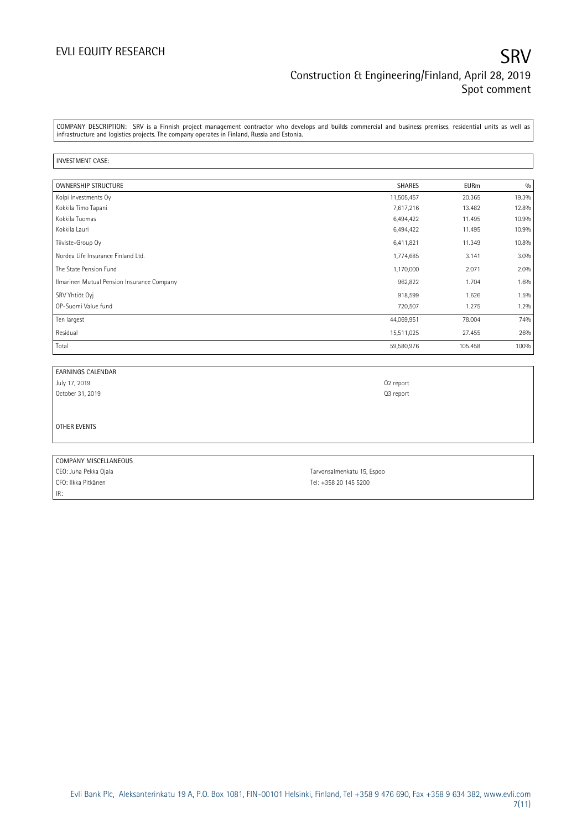COMPANY DESCRIPTION: SRV is a Finnish project management contractor who develops and builds commercial and business premises, residential units as well as infrastructure and logistics projects. The company operates in Finland, Russia and Estonia.

### INVESTMENT CASE:

| <b>OWNERSHIP STRUCTURE</b>                 | <b>SHARES</b> | <b>EURm</b> | 0/0   |
|--------------------------------------------|---------------|-------------|-------|
| Kolpi Investments Oy                       | 11,505,457    | 20.365      | 19.3% |
| Kokkila Timo Tapani                        | 7,617,216     | 13.482      | 12.8% |
| Kokkila Tuomas                             | 6,494,422     | 11.495      | 10.9% |
| Kokkila Lauri                              | 6,494,422     | 11.495      | 10.9% |
| Tiiviste-Group Oy                          | 6,411,821     | 11.349      | 10.8% |
| Nordea Life Insurance Finland Ltd.         | 1,774,685     | 3.141       | 3.0%  |
| The State Pension Fund                     | 1,170,000     | 2.071       | 2.0%  |
| Ilmarinen Mutual Pension Insurance Company | 962,822       | 1.704       | 1.6%  |
| SRV Yhtiöt Ovi                             | 918,599       | 1.626       | 1.5%  |
| OP-Suomi Value fund                        | 720,507       | 1.275       | 1.2%  |
| Ten largest                                | 44,069,951    | 78.004      | 74%   |
| Residual                                   | 15,511,025    | 27.455      | 26%   |
| Total                                      | 59,580,976    | 105.458     | 100%  |

| <b>EARNINGS CALENDAR</b>          |           |
|-----------------------------------|-----------|
| July 17, 2019<br>October 31, 2019 | Q2 report |
|                                   | Q3 report |
|                                   |           |
|                                   |           |
| OTHER EVENTS                      |           |
|                                   |           |
|                                   |           |
|                                   |           |

COMPANY MISCELLANEOUS CEO: Juha Pekka Ojala Tarvonsalmenkatu 15, Espoo CFO: Ilkka Pitkänen Tel: +358 20 145 5200 IR: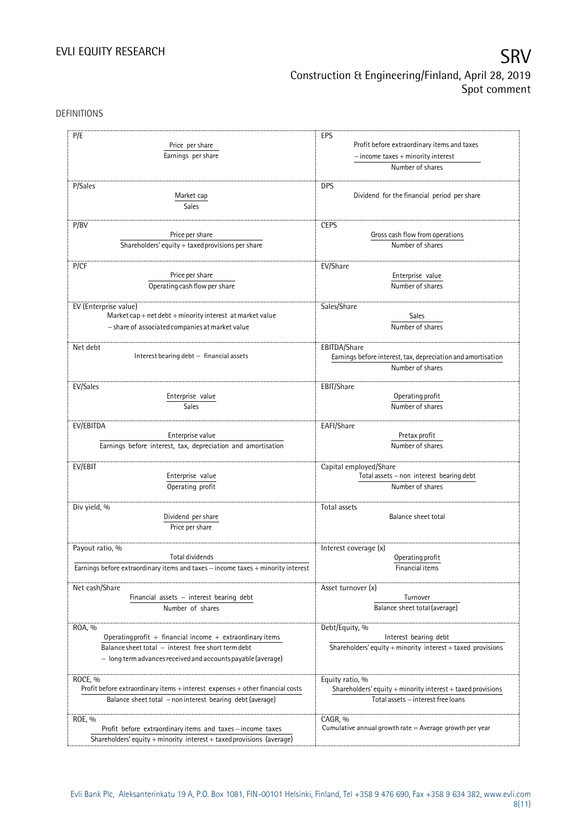## EVLI EQUITY RESEARCH SALL SOMETIME SAN SALL SOMETIME SAN SALL SOMETIME SAN SALL SOMETIME SAN SALL SOMETIME SAN Construction & Engineering/Finland, April 28, 2019 Spot comment

DEFINITIONS

| P/E<br>Price per share<br>Earnings per share                                     | EPS<br>Profit before extraordinary items and taxes<br>$-$ income taxes $+$ minority interest |
|----------------------------------------------------------------------------------|----------------------------------------------------------------------------------------------|
|                                                                                  | Number of shares                                                                             |
| P/Sales<br>Market cap<br>Sales                                                   | <b>DPS</b><br>Dividend for the financial period per share                                    |
| P/BV                                                                             | <b>CEPS</b>                                                                                  |
| Price per share                                                                  | Gross cash flow from operations                                                              |
| Shareholders' equity + taxed provisions per share                                | Number of shares                                                                             |
| P/CF                                                                             | EV/Share                                                                                     |
| Price per share                                                                  | Enterprise value                                                                             |
| Operating cash flow per share                                                    | Number of shares                                                                             |
| EV (Enterprise value)                                                            | Sales/Share                                                                                  |
| Market cap + net debt + minority interest at market value                        | Sales                                                                                        |
| - share of associated companies at market value                                  | Number of shares                                                                             |
| Net debt                                                                         | EBITDA/Share                                                                                 |
| Interest bearing debt - financial assets                                         | Earnings before interest, tax, depreciation and amortisation                                 |
|                                                                                  | Number of shares                                                                             |
| EV/Sales                                                                         | EBIT/Share                                                                                   |
| Enterprise value                                                                 | Operating profit                                                                             |
| Sales                                                                            | Number of shares                                                                             |
| EV/EBITDA                                                                        | EAFI/Share                                                                                   |
| Enterprise value                                                                 | Pretax profit                                                                                |
| Earnings before interest, tax, depreciation and amortisation                     | Number of shares                                                                             |
| EV/EBIT                                                                          | Capital employed/Share                                                                       |
| Enterprise value                                                                 | Total assets - non interest bearing debt                                                     |
| Operating profit                                                                 | Number of shares                                                                             |
| Div yield, %                                                                     | Total assets                                                                                 |
| Dividend per share                                                               | Balance sheet total                                                                          |
| Price per share                                                                  |                                                                                              |
| Payout ratio, %                                                                  | Interest coverage (x)                                                                        |
| Total dividends                                                                  | Operating profit                                                                             |
| Earnings before extraordinary items and taxes - income taxes + minority interest | Financial items                                                                              |
| Net cash/Share                                                                   | Asset turnover (x)                                                                           |
| Financial assets - interest bearing debt                                         | Turnover                                                                                     |
| Number of shares                                                                 | Balance sheet total (average)                                                                |
| ROA, %                                                                           | Debt/Equity, %                                                                               |
| Operating profit $+$ financial income $+$ extraordinary items                    | Interest bearing debt                                                                        |
| Balance sheet total - interest free short term debt                              | Shareholders' equity + minority interest + taxed provisions                                  |
| - long term advances received and accounts payable (average)                     |                                                                                              |
| ROCE, %                                                                          | Equity ratio, %                                                                              |
| Profit before extraordinary items + interest expenses + other financial costs    | Shareholders' equity + minority interest + taxed provisions                                  |
| Balance sheet total -noninterest bearing debt (average)                          | Total assets - interest free loans                                                           |
| ROE, %                                                                           | CAGR, %                                                                                      |
| Profit before extraordinary items and taxes-income taxes                         | Cumulative annual growth rate $=$ Average growth per year                                    |
| Shareholders' equity + minority interest + taxed provisions (average)            |                                                                                              |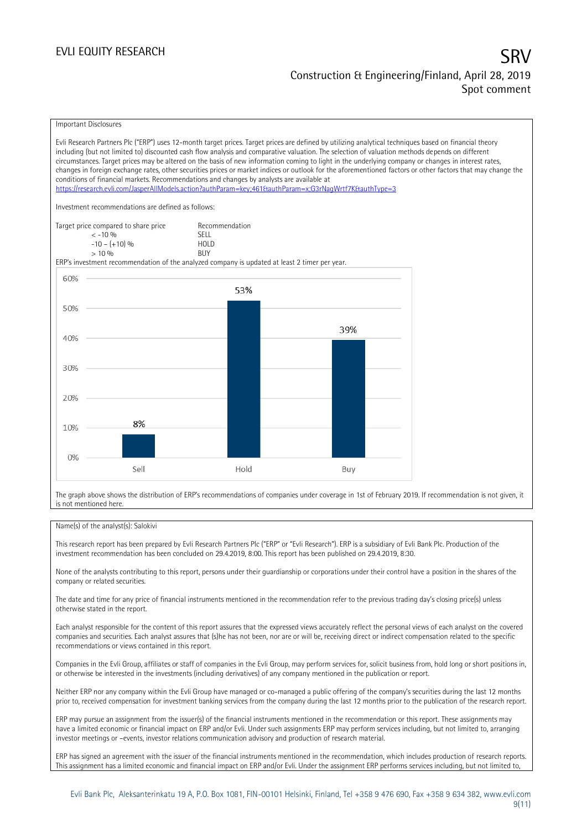### Important Disclosures

Evli Research Partners Plc ("ERP") uses 12-month target prices. Target prices are defined by utilizing analytical techniques based on financial theory including (but not limited to) discounted cash flow analysis and comparative valuation. The selection of valuation methods depends on different circumstances. Target prices may be altered on the basis of new information coming to light in the underlying company or changes in interest rates, changes in foreign exchange rates, other securities prices or market indices or outlook for the aforementioned factors or other factors that may change the conditions of financial markets. Recommendations and changes by analysts are available at <https://research.evli.com/JasperAllModels.action?authParam=key;461&authParam=x;G3rNagWrtf7K&authType=3> Investment recommendations are defined as follows: Target price compared to share price Recommendation<br>  $\leq 10\%$  $\langle 5, 10, 10 \rangle$  SELL<br>  $\langle -10, 1, 10 \rangle$   $\langle 6, 10 \rangle$   $\langle 10, 10 \rangle$  $-10 - (+10) \%$  HOL<br>  $> 10 \%$  RIJY  $> 10\%$ ERP's investment recommendation of the analyzed company is updated at least 2 timer per year. 60% 53% 50% 39% 40% 30% 20% 8% 10%  $0%$ Sell Hold Buy

The graph above shows the distribution of ERP's recommendations of companies under coverage in 1st of February 2019. If recommendation is not given, it is not mentioned here.

### Name(s) of the analyst(s): Salokivi

This research report has been prepared by Evli Research Partners Plc ("ERP" or "Evli Research"). ERP is a subsidiary of Evli Bank Plc. Production of the investment recommendation has been concluded on 29.4.2019, 8:00. This report has been published on 29.4.2019, 8:30.

None of the analysts contributing to this report, persons under their guardianship or corporations under their control have a position in the shares of the company or related securities.

The date and time for any price of financial instruments mentioned in the recommendation refer to the previous trading day's closing price(s) unless otherwise stated in the report.

Each analyst responsible for the content of this report assures that the expressed views accurately reflect the personal views of each analyst on the covered companies and securities. Each analyst assures that (s)he has not been, nor are or will be, receiving direct or indirect compensation related to the specific recommendations or views contained in this report.

Companies in the Evli Group, affiliates or staff of companies in the Evli Group, may perform services for, solicit business from, hold long or short positions in, or otherwise be interested in the investments (including derivatives) of any company mentioned in the publication or report.

Neither ERP nor any company within the Evli Group have managed or co-managed a public offering of the company's securities during the last 12 months prior to, received compensation for investment banking services from the company during the last 12 months prior to the publication of the research report.

ERP may pursue an assignment from the issuer(s) of the financial instruments mentioned in the recommendation or this report. These assignments may have a limited economic or financial impact on ERP and/or Evli. Under such assignments ERP may perform services including, but not limited to, arranging investor meetings or –events, investor relations communication advisory and production of research material.

ERP has signed an agreement with the issuer of the financial instruments mentioned in the recommendation, which includes production of research reports. This assignment has a limited economic and financial impact on ERP and/or Evli. Under the assignment ERP performs services including, but not limited to,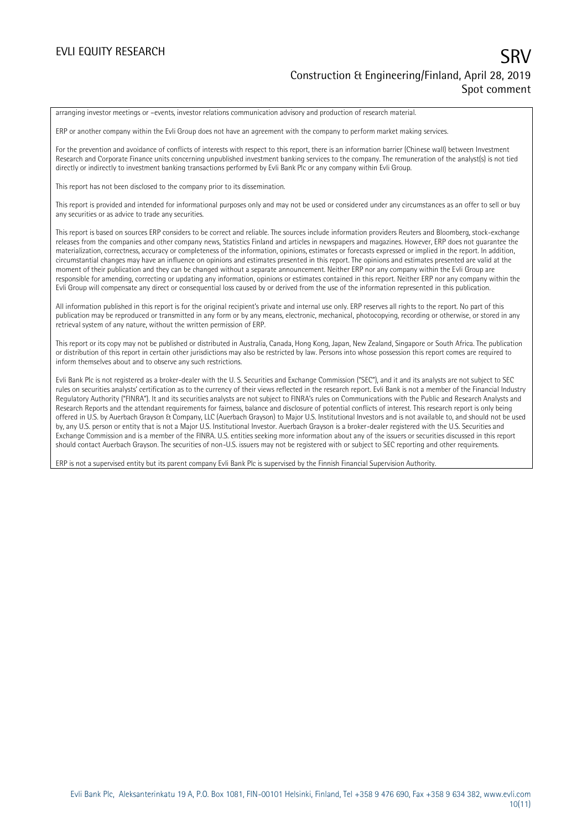arranging investor meetings or –events, investor relations communication advisory and production of research material.

ERP or another company within the Evli Group does not have an agreement with the company to perform market making services.

For the prevention and avoidance of conflicts of interests with respect to this report, there is an information barrier (Chinese wall) between Investment Research and Corporate Finance units concerning unpublished investment banking services to the company. The remuneration of the analyst(s) is not tied directly or indirectly to investment banking transactions performed by Evli Bank Plc or any company within Evli Group.

This report has not been disclosed to the company prior to its dissemination.

This report is provided and intended for informational purposes only and may not be used or considered under any circumstances as an offer to sell or buy any securities or as advice to trade any securities.

This report is based on sources ERP considers to be correct and reliable. The sources include information providers Reuters and Bloomberg, stock-exchange releases from the companies and other company news, Statistics Finland and articles in newspapers and magazines. However, ERP does not guarantee the materialization, correctness, accuracy or completeness of the information, opinions, estimates or forecasts expressed or implied in the report. In addition, circumstantial changes may have an influence on opinions and estimates presented in this report. The opinions and estimates presented are valid at the moment of their publication and they can be changed without a separate announcement. Neither ERP nor any company within the Evli Group are responsible for amending, correcting or updating any information, opinions or estimates contained in this report. Neither ERP nor any company within the Evli Group will compensate any direct or consequential loss caused by or derived from the use of the information represented in this publication.

All information published in this report is for the original recipient's private and internal use only. ERP reserves all rights to the report. No part of this publication may be reproduced or transmitted in any form or by any means, electronic, mechanical, photocopying, recording or otherwise, or stored in any retrieval system of any nature, without the written permission of ERP.

This report or its copy may not be published or distributed in Australia, Canada, Hong Kong, Japan, New Zealand, Singapore or South Africa. The publication or distribution of this report in certain other jurisdictions may also be restricted by law. Persons into whose possession this report comes are required to inform themselves about and to observe any such restrictions.

Evli Bank Plc is not registered as a broker-dealer with the U. S. Securities and Exchange Commission ("SEC"), and it and its analysts are not subject to SEC rules on securities analysts' certification as to the currency of their views reflected in the research report. Evli Bank is not a member of the Financial Industry Regulatory Authority ("FINRA"). It and its securities analysts are not subject to FINRA's rules on Communications with the Public and Research Analysts and Research Reports and the attendant requirements for fairness, balance and disclosure of potential conflicts of interest. This research report is only being offered in U.S. by Auerbach Grayson & Company, LLC (Auerbach Grayson) to Major U.S. Institutional Investors and is not available to, and should not be used by, any U.S. person or entity that is not a Major U.S. Institutional Investor. Auerbach Grayson is a broker-dealer registered with the U.S. Securities and Exchange Commission and is a member of the FINRA. U.S. entities seeking more information about any of the issuers or securities discussed in this report should contact Auerbach Grayson. The securities of non-U.S. issuers may not be registered with or subject to SEC reporting and other requirements.

ERP is not a supervised entity but its parent company Evli Bank Plc is supervised by the Finnish Financial Supervision Authority.